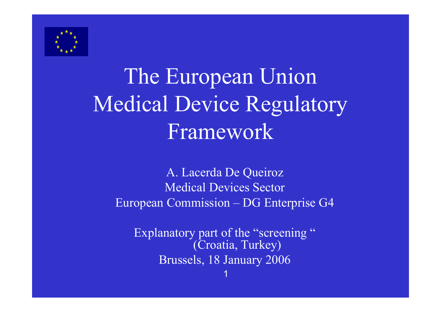

# The European Union Medical Device Regulatory Framework

A. Lacerda De Queiroz Medical Devices Sector European Commission – DG Enterprise G4

Explanatory part of the "screening" (Croatia, Turkey) Brussels, 18 January 2006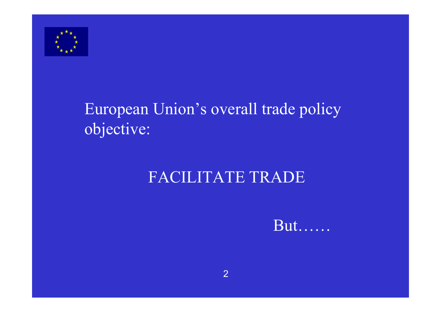

#### European Union's overall trade policy objective:

#### FACILITATE TRADE

But……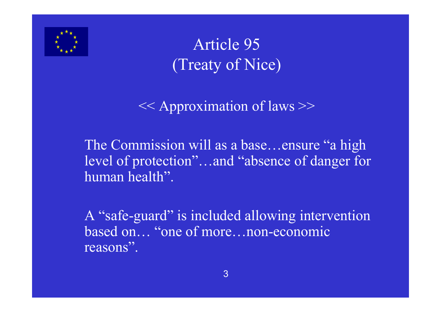

### Article 95(Treaty of Nice)

<< Approximation of laws >>

The Commission will as a base…ensure "a high level of protection"…and "absence of danger for human health".

A "safe-guard" is included allowing intervention based on… "one of more…non-economic reasons".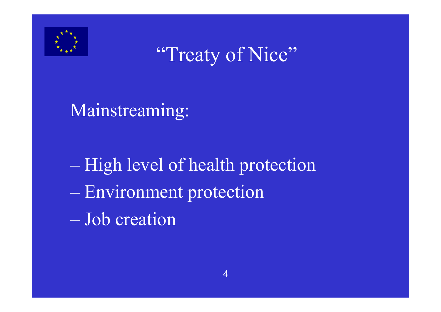

"Treaty of Nice"

Mainstreaming:

 High level of health protection Environment protection Job creation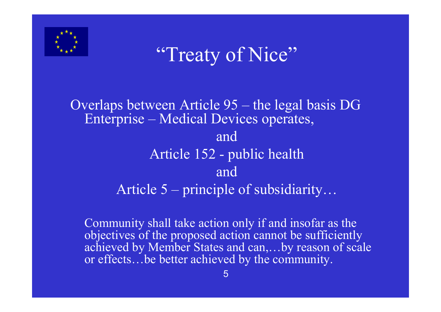

# "Treaty of Nice"

#### Overlaps between Article 95 – the legal basis DG Enterprise – Medical Devices operates, andArticle 152 - public health andArticle 5 – principle of subsidiarity…

Community shall take action only if and insofar as the objectives of the proposed action cannot be sufficiently achieved by Member States and can,…by reason of scale or effects…be better achieved by the community.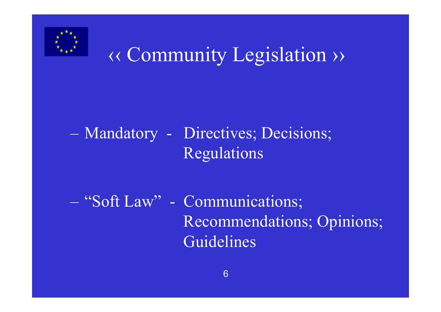

# ‹‹ Community Legislation ››

### Mandatory - Directives; Decisions; Regulations

 "Soft Law" - Communications; Recommendations; Opinions; Guidelines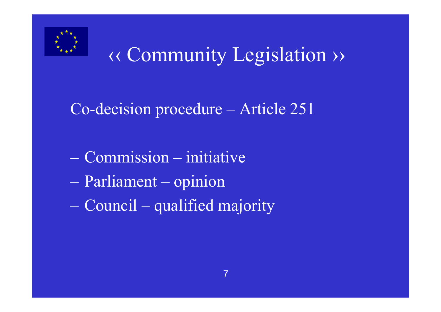

# ‹‹ Community Legislation ››

#### Co-decision procedure – Article 251

- Commission initiative
- Parliament opinion
- Council qualified majority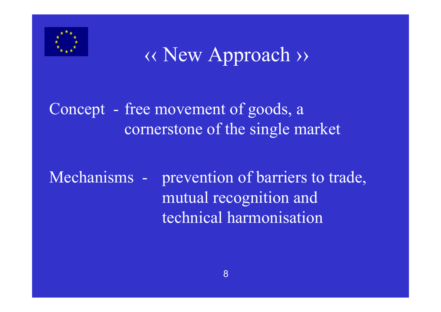

# ‹‹ New Approach ››

#### Concept - free movement of goods, a cornerstone of the single market

Mechanisms - prevention of barriers to trade, mutual recognition and technical harmonisation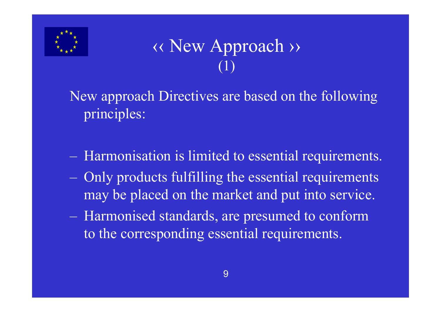

### ‹‹ New Approach ››  $(1)$

New approach Directives are based on the following principles:

- Harmonisation is limited to essential requirements.
- Only products fulfilling the essential requirements may be placed on the market and put into service.
- Harmonised standards, are presumed to conform to the corresponding essential requirements.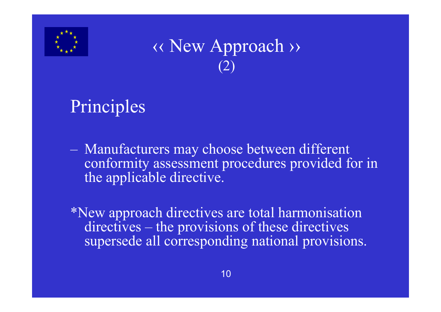

## ‹‹ New Approach ›› (2)

Principles

 Manufacturers may choose between different conformity assessment procedures provided for in the applicable directive.

\*New approach directives are total harmonisation directives – the provisions of these directives supersede all corresponding national provisions.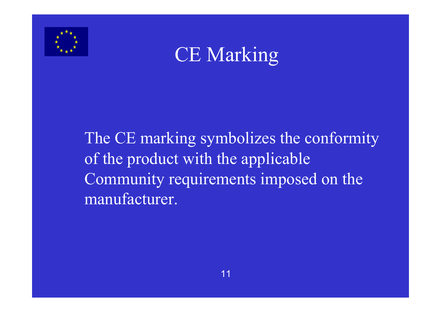



The CE marking symbolizes the conformity of the product with the applicable Community requirements imposed on the manufacturer.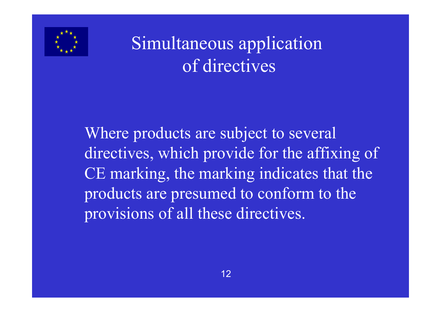

# Simultaneous application of directives

Where products are subject to several directives, which provide for the affixing of CE marking, the marking indicates that the products are presumed to conform to the provisions of all these directives.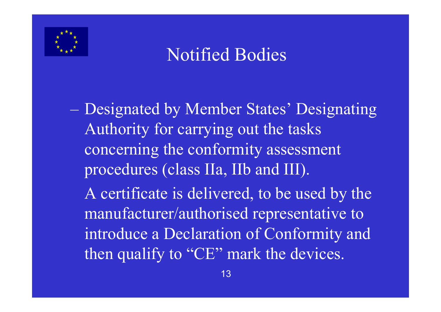

# Notified Bodies

 Designated by Member States' Designating Authority for carrying out the tasks concerning the conformity assessment procedures (class IIa, IIb and III). A certificate is delivered, to be used by the manufacturer/authorised representative to introduce a Declaration of Conformity and then qualify to "CE" mark the devices.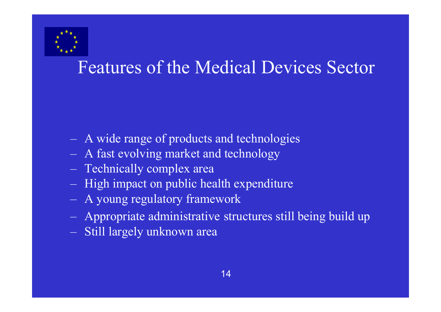

# Features of the Medical Devices Sector

- A wide range of products and technologies
- A fast evolving market and technology
- Technically complex area
- High impact on public health expenditure
- A young regulatory framework
- Appropriate administrative structures still being build up
- Still largely unknown area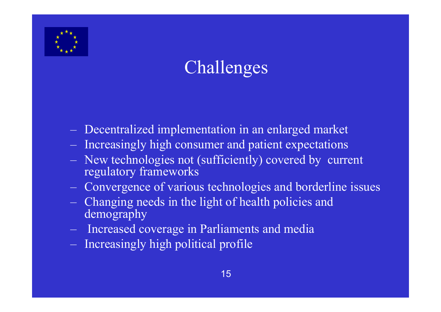

# Challenges

- Decentralized implementation in an enlarged market
- Increasingly high consumer and patient expectations
- New technologies not (sufficiently) covered by current regulatory frameworks
- Convergence of various technologies and borderline issues
- Changing needs in the light of health policies and demography
- Increased coverage in Parliaments and media
- Increasingly high political profile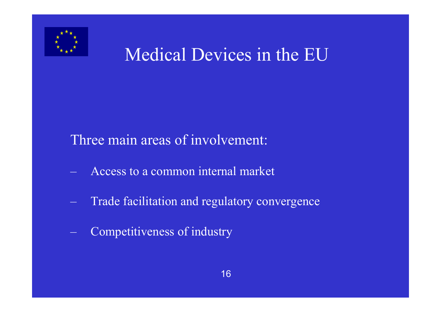

# Medical Devices in the EU

#### Three main areas of involvement:

- –Access to a common internal market
- –Trade facilitation and regulatory convergence
- –Competitiveness of industry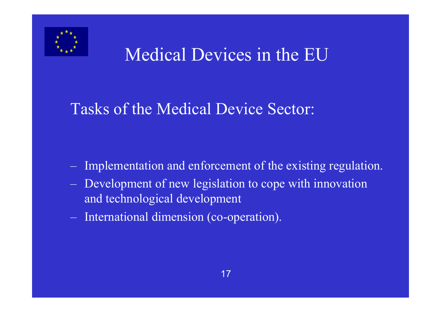

# Medical Devices in the EU

#### Tasks of the Medical Device Sector:

- Implementation and enforcement of the existing regulation.
- Development of new legislation to cope with innovation and technological development
- International dimension (co-operation).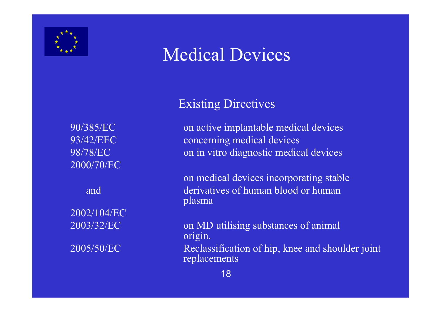

# Medical Devices

2000/70/EC

2002/104/EC

Existing Directives

90/385/EC on active implantable medical devices 93/42/EEC concerning medical devices 98/78/EC on in vitro diagnostic medical devices

on medical devices incorporating stable and derivatives of human blood or human plasma

2003/32/EC on MD utilising substances of animal origin. 2005/50/EC Reclassification of hip, knee and shoulder joint replacements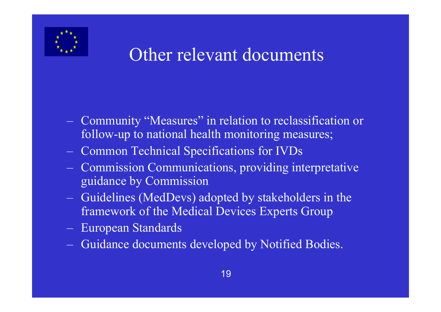

### Other relevant documents

- Community "Measures" in relation to reclassification or follow-up to national health monitoring measures;
- $\mathcal{L}_{\mathcal{A}}$ Common Technical Specifications for IVDs
- $\mathcal{L}_{\mathcal{A}}$  Commission Communications, providing interpretative guidance by Commission
- $\mathcal{L}_{\mathcal{A}}$  Guidelines (MedDevs) adopted by stakeholders in the framework of the Medical Devices Experts Group
- $\mathcal{L}_{\mathcal{A}}$ European Standards
- **London Maria (1985)** Guidance documents developed by Notified Bodies.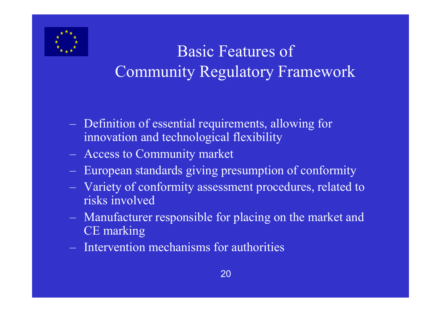

# Basic Features of Community Regulatory Framework

- Definition of essential requirements, allowing for innovation and technological flexibility
- Access to Community market
- European standards giving presumption of conformity
- Variety of conformity assessment procedures, related to risks involved
- Manufacturer responsible for placing on the market and CE marking
- Intervention mechanisms for authorities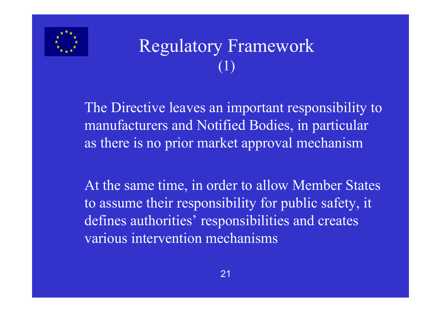

## Regulatory Framework  $(1)$

The Directive leaves an important responsibility to manufacturers and Notified Bodies, in particular as there is no prior market approval mechanism

At the same time, in order to allow Member States to assume their responsibility for public safety, it defines authorities' responsibilities and creates various intervention mechanisms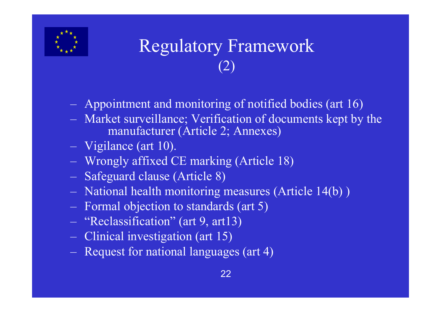

# Regulatory Framework (2)

- Appointment and monitoring of notified bodies (art 16)
- Market surveillance; Verification of documents kept by the manufacturer (Article 2; Annexes)
- Vigilance (art 10).
- Wrongly affixed CE marking (Article 18)
- Safeguard clause (Article 8)
- National health monitoring measures (Article 14(b) )
- Formal objection to standards (art 5)
- "Reclassification" (art 9, art13)
- Clinical investigation (art 15)
- Request for national languages (art 4)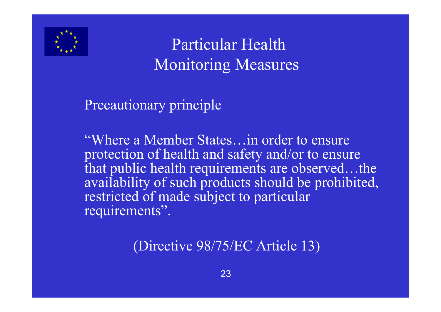

### Particular Health Monitoring Measures

#### Precautionary principle

"Where a Member States…in order to ensure protection of health and safety and/or to ensure that public health requirements are observed…the availability of such products should be prohibited, restricted of made subject to particular requirements".

#### (Directive 98/75/EC Article 13)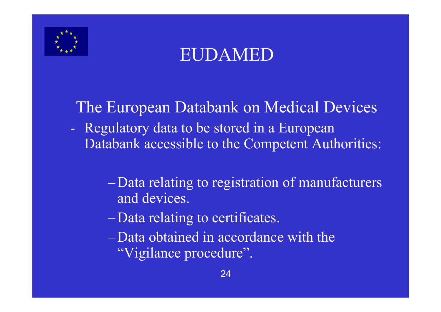



The European Databank on Medical Devices

- Regulatory data to be stored in a European Databank accessible to the Competent Authorities:
	- Data relating to registration of manufacturers and devices.
	- Data relating to certificates.
	- Data obtained in accordance with the "Vigilance procedure".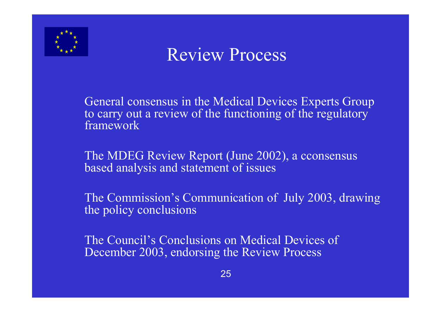



General consensus in the Medical Devices Experts Group to carry out a review of the functioning of the regulatory framework

The MDEG Review Report (June 2002), a cconsensus based analysis and statement of issues

The Commission's Communication of July 2003, drawing the policy conclusions

The Council's Conclusions on Medical Devices of December 2003, endorsing the Review Process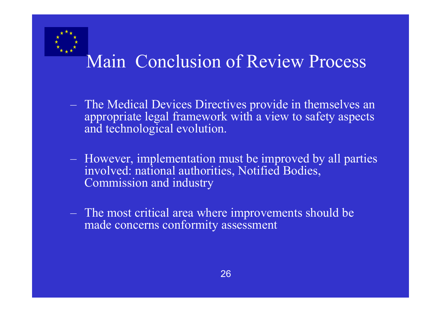

# Main Conclusion of Review Process

- The Medical Devices Directives provide in themselves an appropriate legal framework with a view to safety aspects and technological evolution.
- However, implementation must be improved by all parties involved: national authorities, Notified Bodies, Commission and industry
- The most critical area where improvements should be made concerns conformity assessment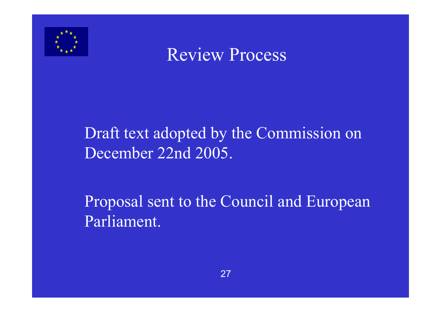

Review Process

#### Draft text adopted by the Commission on December 22nd 2005.

Proposal sent to the Council and European Parliament.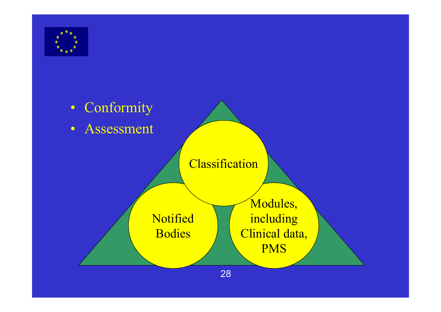

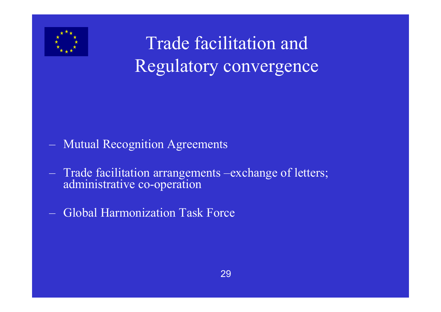

Trade facilitation and Regulatory convergence

- Mutual Recognition Agreements
- Trade facilitation arrangements –exchange of letters; administrative co-operation
- Global Harmonization Task Force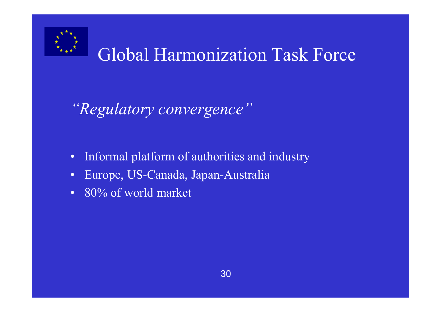

## Global Harmonization Task Force

*"Regulatory convergence"*

- •Informal platform of authorities and industry
- $\bullet$ Europe, US-Canada, Japan-Australia
- •80% of world market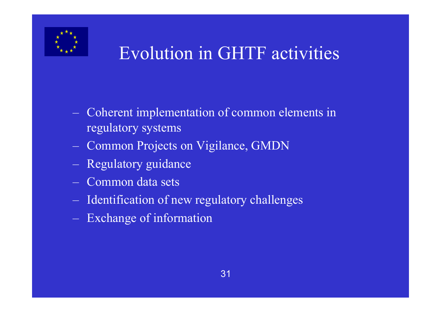

# Evolution in GHTF activities

- Coherent implementation of common elements in regulatory systems
- **London Maria (1985)** Common Projects on Vigilance, GMDN
- $\mathcal{L}_{\mathcal{A}}$ Regulatory guidance
- Common data sets
- $\mathcal{L}_{\mathcal{A}}$ Identification of new regulatory challenges
- $\mathcal{L}_{\mathcal{A}}$ Exchange of information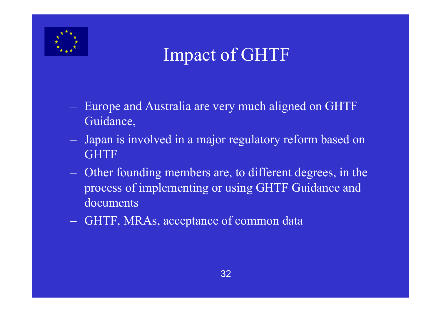

# Impact of GHTF

- Europe and Australia are very much aligned on GHTF Guidance,
- Japan is involved in a major regulatory reform based on **GHTF**
- Other founding members are, to different degrees, in the process of implementing or using GHTF Guidance and documents
- GHTF, MRAs, acceptance of common data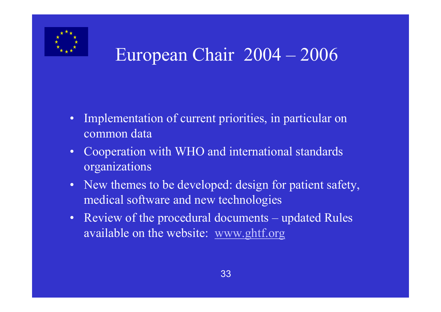

# European Chair 2004 – 2006

- $\bullet$  Implementation of current priorities, in particular on common data
- • Cooperation with WHO and international standards organizations
- $\bullet$  New themes to be developed: design for patient safety, medical software and new technologies
- $\bullet$  Review of the procedural documents – updated Rules available on the website: www.ghtf.org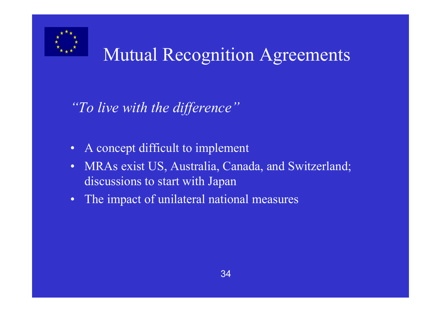

# Mutual Recognition Agreements

*"To live with the difference"*

- $\bullet$ A concept difficult to implement
- $\bullet$  MRAs exist US, Australia, Canada, and Switzerland; discussions to start with Japan
- •The impact of unilateral national measures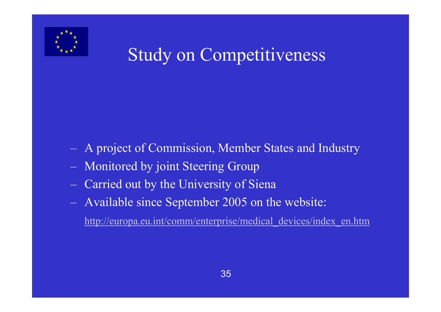

# Study on Competitiveness

- A project of Commission, Member States and Industry
- Monitored by joint Steering Group
- –Carried out by the University of Siena
- Available since September 2005 on the website:

http://europa.eu.int/comm/enterprise/medical\_devices/index\_en.htm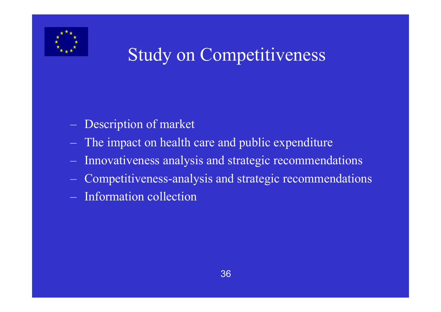

# Study on Competitiveness

- Description of market
- The impact on health care and public expenditure
- –Innovativeness analysis and strategic recommendations
- Competitiveness-analysis and strategic recommendations
- Information collection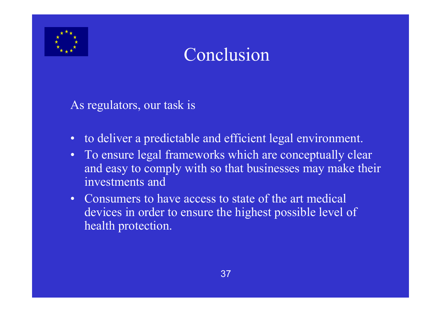

## Conclusion

As regulators, our task is

- $\bullet$ to deliver a predictable and efficient legal environment.
- $\bullet$  To ensure legal frameworks which are conceptually clear and easy to comply with so that businesses may make their investments and
- $\bullet$  Consumers to have access to state of the art medical devices in order to ensure the highest possible level of health protection.